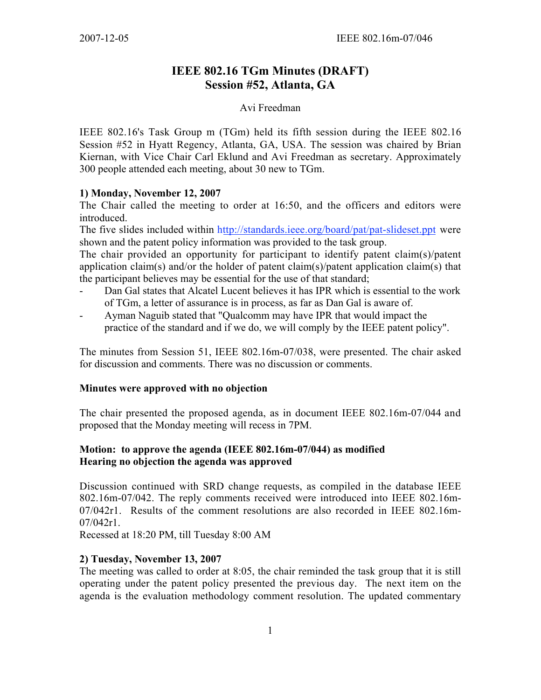# **IEEE 802.16 TGm Minutes (DRAFT) Session #52, Atlanta, GA**

### Avi Freedman

IEEE 802.16's Task Group m (TGm) held its fifth session during the IEEE 802.16 Session #52 in Hyatt Regency, Atlanta, GA, USA. The session was chaired by Brian Kiernan, with Vice Chair Carl Eklund and Avi Freedman as secretary. Approximately 300 people attended each meeting, about 30 new to TGm.

#### **1) Monday, November 12, 2007**

The Chair called the meeting to order at 16:50, and the officers and editors were introduced.

The five slides included within <http://standards.ieee.org/board/pat/pat-slideset.ppt> were shown and the patent policy information was provided to the task group.

The chair provided an opportunity for participant to identify patent claim(s)/patent application claim(s) and/or the holder of patent claim(s)/patent application claim(s) that the participant believes may be essential for the use of that standard;

- Dan Gal states that Alcatel Lucent believes it has IPR which is essential to the work of TGm, a letter of assurance is in process, as far as Dan Gal is aware of.
- Ayman Naguib stated that "Qualcomm may have IPR that would impact the practice of the standard and if we do, we will comply by the IEEE patent policy".

The minutes from Session 51, IEEE 802.16m-07/038, were presented. The chair asked for discussion and comments. There was no discussion or comments.

### **Minutes were approved with no objection**

The chair presented the proposed agenda, as in document IEEE 802.16m-07/044 and proposed that the Monday meeting will recess in 7PM.

## **Motion: to approve the agenda (IEEE 802.16m-07/044) as modified Hearing no objection the agenda was approved**

Discussion continued with SRD change requests, as compiled in the database IEEE 802.16m-07/042. The reply comments received were introduced into IEEE 802.16m-07/042r1. Results of the comment resolutions are also recorded in IEEE 802.16m- $07/042r1$ .

Recessed at 18:20 PM, till Tuesday 8:00 AM

### **2) Tuesday, November 13, 2007**

The meeting was called to order at 8:05, the chair reminded the task group that it is still operating under the patent policy presented the previous day. The next item on the agenda is the evaluation methodology comment resolution. The updated commentary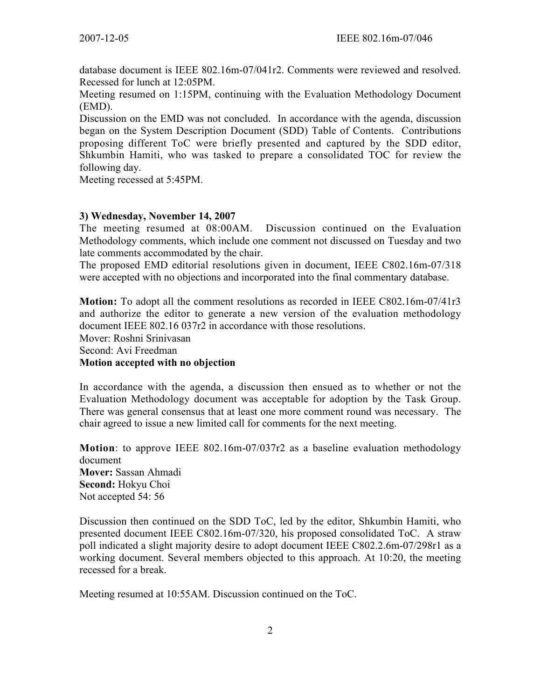database document is IEEE 802.16m-07/041r2. Comments were reviewed and resolved. Recessed for lunch at 12:05PM.

Meeting resumed on 1:15PM, continuing with the Evaluation Methodology Document (EMD).

Discussion on the EMD was not concluded. In accordance with the agenda, discussion began on the System Description Document (SDD) Table of Contents. Contributions proposing different ToC were briefly presented and captured by the SDD editor, Shkumbin Hamiti, who was tasked to prepare a consolidated TOC for review the following day.

Meeting recessed at 5:45PM.

#### **3) Wednesday, November 14, 2007**

The meeting resumed at 08:00AM. Discussion continued on the Evaluation Methodology comments, which include one comment not discussed on Tuesday and two late comments accommodated by the chair.

The proposed EMD editorial resolutions given in document, IEEE C802.16m-07/318 were accepted with no objections and incorporated into the final commentary database.

**Motion:** To adopt all the comment resolutions as recorded in IEEE C802.16m-07/41r3 and authorize the editor to generate a new version of the evaluation methodology document IEEE 802.16 037r2 in accordance with those resolutions. Mover: Roshni Srinivasan Second: Avi Freedman **Motion accepted with no objection**

In accordance with the agenda, a discussion then ensued as to whether or not the Evaluation Methodology document was acceptable for adoption by the Task Group. There was general consensus that at least one more comment round was necessary. The chair agreed to issue a new limited call for comments for the next meeting.

**Motion**: to approve IEEE 802.16m-07/037r2 as a baseline evaluation methodology document **Mover:** Sassan Ahmadi **Second:** Hokyu Choi Not accepted 54: 56

Discussion then continued on the SDD ToC, led by the editor, Shkumbin Hamiti, who presented document IEEE C802.16m-07/320, his proposed consolidated ToC. A straw poll indicated a slight majority desire to adopt document IEEE C802.2.6m-07/298r1 as a working document. Several members objected to this approach. At 10:20, the meeting recessed for a break.

Meeting resumed at 10:55AM. Discussion continued on the ToC.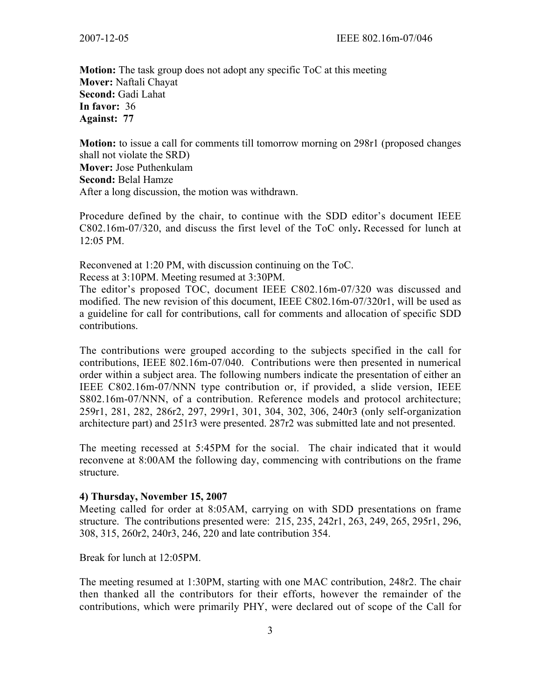2007-12-05 IEEE 802.16m-07/046

**Motion:** The task group does not adopt any specific ToC at this meeting **Mover:** Naftali Chayat **Second:** Gadi Lahat **In favor:** 36 **Against: 77**

**Motion:** to issue a call for comments till tomorrow morning on 298r1 (proposed changes shall not violate the SRD) **Mover:** Jose Puthenkulam **Second:** Belal Hamze After a long discussion, the motion was withdrawn.

Procedure defined by the chair, to continue with the SDD editor's document IEEE C802.16m-07/320, and discuss the first level of the ToC only**.** Recessed for lunch at 12:05 PM.

Reconvened at 1:20 PM, with discussion continuing on the ToC.

Recess at 3:10PM. Meeting resumed at 3:30PM.

The editor's proposed TOC, document IEEE C802.16m-07/320 was discussed and modified. The new revision of this document, IEEE C802.16m-07/320r1, will be used as a guideline for call for contributions, call for comments and allocation of specific SDD contributions.

The contributions were grouped according to the subjects specified in the call for contributions, IEEE 802.16m-07/040. Contributions were then presented in numerical order within a subject area. The following numbers indicate the presentation of either an IEEE C802.16m-07/NNN type contribution or, if provided, a slide version, IEEE S802.16m-07/NNN, of a contribution. Reference models and protocol architecture; 259r1, 281, 282, 286r2, 297, 299r1, 301, 304, 302, 306, 240r3 (only self-organization architecture part) and 251r3 were presented. 287r2 was submitted late and not presented.

The meeting recessed at 5:45PM for the social. The chair indicated that it would reconvene at 8:00AM the following day, commencing with contributions on the frame structure.

#### **4) Thursday, November 15, 2007**

Meeting called for order at 8:05AM, carrying on with SDD presentations on frame structure. The contributions presented were: 215, 235, 242r1, 263, 249, 265, 295r1, 296, 308, 315, 260r2, 240r3, 246, 220 and late contribution 354.

Break for lunch at 12:05PM.

The meeting resumed at 1:30PM, starting with one MAC contribution, 248r2. The chair then thanked all the contributors for their efforts, however the remainder of the contributions, which were primarily PHY, were declared out of scope of the Call for